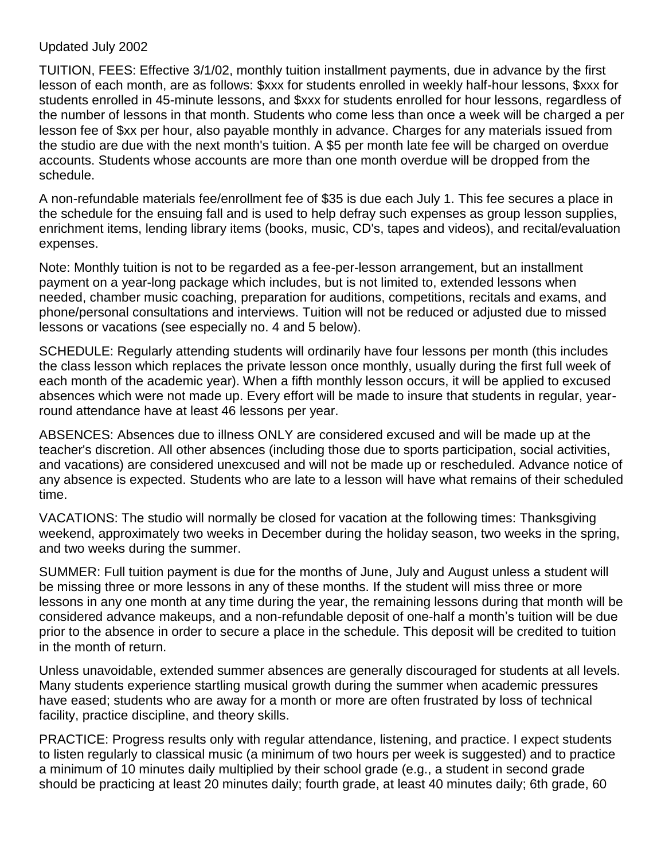## Updated July 2002

TUITION, FEES: Effective 3/1/02, monthly tuition installment payments, due in advance by the first lesson of each month, are as follows: \$xxx for students enrolled in weekly half-hour lessons, \$xxx for students enrolled in 45-minute lessons, and \$xxx for students enrolled for hour lessons, regardless of the number of lessons in that month. Students who come less than once a week will be charged a per lesson fee of \$xx per hour, also payable monthly in advance. Charges for any materials issued from the studio are due with the next month's tuition. A \$5 per month late fee will be charged on overdue accounts. Students whose accounts are more than one month overdue will be dropped from the schedule.

A non-refundable materials fee/enrollment fee of \$35 is due each July 1. This fee secures a place in the schedule for the ensuing fall and is used to help defray such expenses as group lesson supplies, enrichment items, lending library items (books, music, CD's, tapes and videos), and recital/evaluation expenses.

Note: Monthly tuition is not to be regarded as a fee-per-lesson arrangement, but an installment payment on a year-long package which includes, but is not limited to, extended lessons when needed, chamber music coaching, preparation for auditions, competitions, recitals and exams, and phone/personal consultations and interviews. Tuition will not be reduced or adjusted due to missed lessons or vacations (see especially no. 4 and 5 below).

SCHEDULE: Regularly attending students will ordinarily have four lessons per month (this includes the class lesson which replaces the private lesson once monthly, usually during the first full week of each month of the academic year). When a fifth monthly lesson occurs, it will be applied to excused absences which were not made up. Every effort will be made to insure that students in regular, yearround attendance have at least 46 lessons per year.

ABSENCES: Absences due to illness ONLY are considered excused and will be made up at the teacher's discretion. All other absences (including those due to sports participation, social activities, and vacations) are considered unexcused and will not be made up or rescheduled. Advance notice of any absence is expected. Students who are late to a lesson will have what remains of their scheduled time.

VACATIONS: The studio will normally be closed for vacation at the following times: Thanksgiving weekend, approximately two weeks in December during the holiday season, two weeks in the spring, and two weeks during the summer.

SUMMER: Full tuition payment is due for the months of June, July and August unless a student will be missing three or more lessons in any of these months. If the student will miss three or more lessons in any one month at any time during the year, the remaining lessons during that month will be considered advance makeups, and a non-refundable deposit of one-half a month's tuition will be due prior to the absence in order to secure a place in the schedule. This deposit will be credited to tuition in the month of return.

Unless unavoidable, extended summer absences are generally discouraged for students at all levels. Many students experience startling musical growth during the summer when academic pressures have eased; students who are away for a month or more are often frustrated by loss of technical facility, practice discipline, and theory skills.

PRACTICE: Progress results only with regular attendance, listening, and practice. I expect students to listen regularly to classical music (a minimum of two hours per week is suggested) and to practice a minimum of 10 minutes daily multiplied by their school grade (e.g., a student in second grade should be practicing at least 20 minutes daily; fourth grade, at least 40 minutes daily; 6th grade, 60